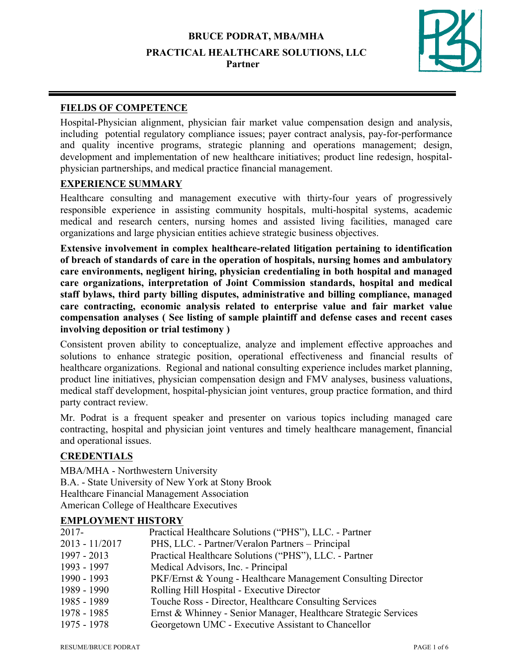

# **FIELDS OF COMPETENCE**

Hospital-Physician alignment, physician fair market value compensation design and analysis, including potential regulatory compliance issues; payer contract analysis, pay-for-performance and quality incentive programs, strategic planning and operations management; design, development and implementation of new healthcare initiatives; product line redesign, hospitalphysician partnerships, and medical practice financial management.

# **EXPERIENCE SUMMARY**

Healthcare consulting and management executive with thirty-four years of progressively responsible experience in assisting community hospitals, multi-hospital systems, academic medical and research centers, nursing homes and assisted living facilities, managed care organizations and large physician entities achieve strategic business objectives.

**Extensive involvement in complex healthcare-related litigation pertaining to identification of breach of standards of care in the operation of hospitals, nursing homes and ambulatory care environments, negligent hiring, physician credentialing in both hospital and managed care organizations, interpretation of Joint Commission standards, hospital and medical staff bylaws, third party billing disputes, administrative and billing compliance, managed care contracting, economic analysis related to enterprise value and fair market value compensation analyses ( See listing of sample plaintiff and defense cases and recent cases involving deposition or trial testimony )**

Consistent proven ability to conceptualize, analyze and implement effective approaches and solutions to enhance strategic position, operational effectiveness and financial results of healthcare organizations. Regional and national consulting experience includes market planning, product line initiatives, physician compensation design and FMV analyses, business valuations, medical staff development, hospital-physician joint ventures, group practice formation, and third party contract review.

Mr. Podrat is a frequent speaker and presenter on various topics including managed care contracting, hospital and physician joint ventures and timely healthcare management, financial and operational issues.

# **CREDENTIALS**

MBA/MHA - Northwestern University B.A. - State University of New York at Stony Brook Healthcare Financial Management Association American College of Healthcare Executives

# **EMPLOYMENT HISTORY**

| PKF/Ernst & Young - Healthcare Management Consulting Director   |
|-----------------------------------------------------------------|
|                                                                 |
|                                                                 |
| Ernst & Whinney - Senior Manager, Healthcare Strategic Services |
|                                                                 |
|                                                                 |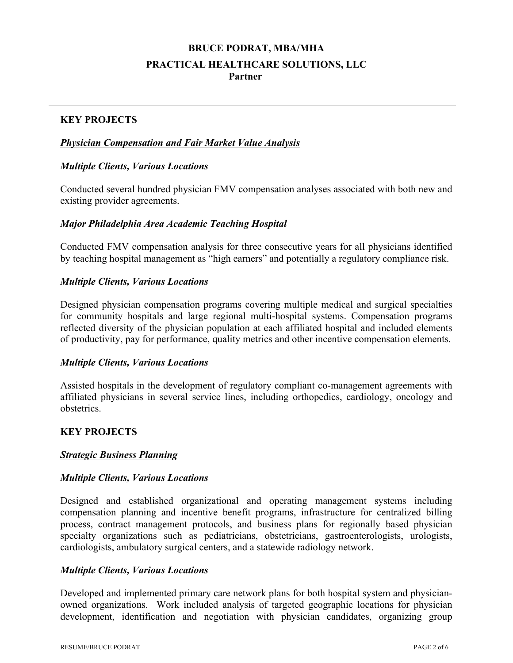## **KEY PROJECTS**

## *Physician Compensation and Fair Market Value Analysis*

## *Multiple Clients, Various Locations*

Conducted several hundred physician FMV compensation analyses associated with both new and existing provider agreements.

## *Major Philadelphia Area Academic Teaching Hospital*

Conducted FMV compensation analysis for three consecutive years for all physicians identified by teaching hospital management as "high earners" and potentially a regulatory compliance risk.

#### *Multiple Clients, Various Locations*

Designed physician compensation programs covering multiple medical and surgical specialties for community hospitals and large regional multi-hospital systems. Compensation programs reflected diversity of the physician population at each affiliated hospital and included elements of productivity, pay for performance, quality metrics and other incentive compensation elements.

#### *Multiple Clients, Various Locations*

Assisted hospitals in the development of regulatory compliant co-management agreements with affiliated physicians in several service lines, including orthopedics, cardiology, oncology and obstetrics.

## **KEY PROJECTS**

## *Strategic Business Planning*

#### *Multiple Clients, Various Locations*

Designed and established organizational and operating management systems including compensation planning and incentive benefit programs, infrastructure for centralized billing process, contract management protocols, and business plans for regionally based physician specialty organizations such as pediatricians, obstetricians, gastroenterologists, urologists, cardiologists, ambulatory surgical centers, and a statewide radiology network.

## *Multiple Clients, Various Locations*

Developed and implemented primary care network plans for both hospital system and physicianowned organizations. Work included analysis of targeted geographic locations for physician development, identification and negotiation with physician candidates, organizing group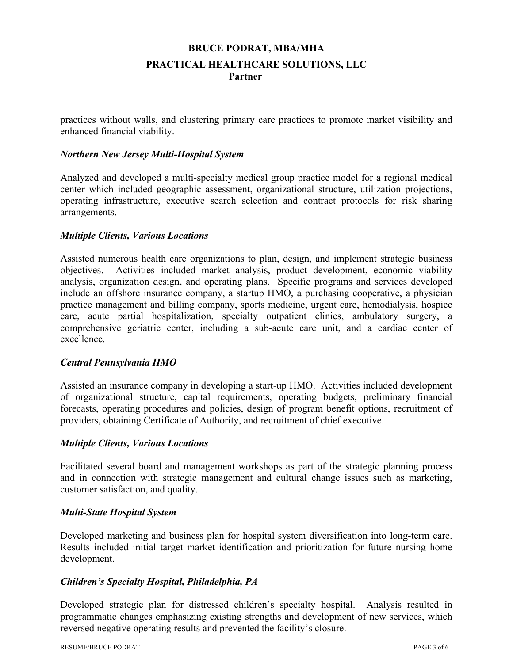practices without walls, and clustering primary care practices to promote market visibility and enhanced financial viability.

## *Northern New Jersey Multi-Hospital System*

Analyzed and developed a multi-specialty medical group practice model for a regional medical center which included geographic assessment, organizational structure, utilization projections, operating infrastructure, executive search selection and contract protocols for risk sharing arrangements.

#### *Multiple Clients, Various Locations*

Assisted numerous health care organizations to plan, design, and implement strategic business objectives. Activities included market analysis, product development, economic viability analysis, organization design, and operating plans. Specific programs and services developed include an offshore insurance company, a startup HMO, a purchasing cooperative, a physician practice management and billing company, sports medicine, urgent care, hemodialysis, hospice care, acute partial hospitalization, specialty outpatient clinics, ambulatory surgery, a comprehensive geriatric center, including a sub-acute care unit, and a cardiac center of excellence.

## *Central Pennsylvania HMO*

Assisted an insurance company in developing a start-up HMO. Activities included development of organizational structure, capital requirements, operating budgets, preliminary financial forecasts, operating procedures and policies, design of program benefit options, recruitment of providers, obtaining Certificate of Authority, and recruitment of chief executive.

#### *Multiple Clients, Various Locations*

Facilitated several board and management workshops as part of the strategic planning process and in connection with strategic management and cultural change issues such as marketing, customer satisfaction, and quality.

#### *Multi-State Hospital System*

Developed marketing and business plan for hospital system diversification into long-term care. Results included initial target market identification and prioritization for future nursing home development.

## *Children's Specialty Hospital, Philadelphia, PA*

Developed strategic plan for distressed children's specialty hospital. Analysis resulted in programmatic changes emphasizing existing strengths and development of new services, which reversed negative operating results and prevented the facility's closure.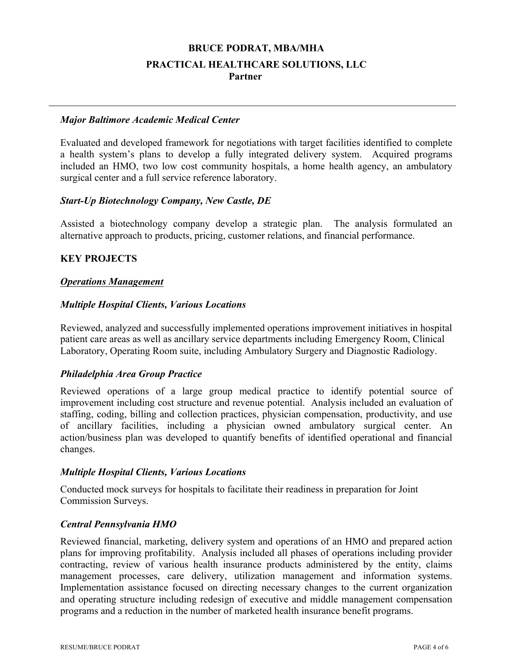#### *Major Baltimore Academic Medical Center*

Evaluated and developed framework for negotiations with target facilities identified to complete a health system's plans to develop a fully integrated delivery system. Acquired programs included an HMO, two low cost community hospitals, a home health agency, an ambulatory surgical center and a full service reference laboratory.

#### *Start-Up Biotechnology Company, New Castle, DE*

Assisted a biotechnology company develop a strategic plan. The analysis formulated an alternative approach to products, pricing, customer relations, and financial performance.

## **KEY PROJECTS**

#### *Operations Management*

#### *Multiple Hospital Clients, Various Locations*

Reviewed, analyzed and successfully implemented operations improvement initiatives in hospital patient care areas as well as ancillary service departments including Emergency Room, Clinical Laboratory, Operating Room suite, including Ambulatory Surgery and Diagnostic Radiology.

## *Philadelphia Area Group Practice*

Reviewed operations of a large group medical practice to identify potential source of improvement including cost structure and revenue potential. Analysis included an evaluation of staffing, coding, billing and collection practices, physician compensation, productivity, and use of ancillary facilities, including a physician owned ambulatory surgical center. An action/business plan was developed to quantify benefits of identified operational and financial changes.

#### *Multiple Hospital Clients, Various Locations*

Conducted mock surveys for hospitals to facilitate their readiness in preparation for Joint Commission Surveys.

#### *Central Pennsylvania HMO*

Reviewed financial, marketing, delivery system and operations of an HMO and prepared action plans for improving profitability. Analysis included all phases of operations including provider contracting, review of various health insurance products administered by the entity, claims management processes, care delivery, utilization management and information systems. Implementation assistance focused on directing necessary changes to the current organization and operating structure including redesign of executive and middle management compensation programs and a reduction in the number of marketed health insurance benefit programs.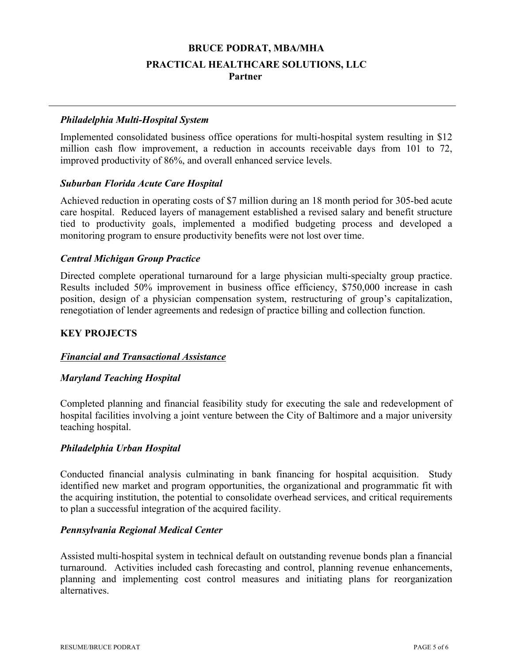#### *Philadelphia Multi-Hospital System*

Implemented consolidated business office operations for multi-hospital system resulting in \$12 million cash flow improvement, a reduction in accounts receivable days from 101 to 72, improved productivity of 86%, and overall enhanced service levels.

#### *Suburban Florida Acute Care Hospital*

Achieved reduction in operating costs of \$7 million during an 18 month period for 305-bed acute care hospital. Reduced layers of management established a revised salary and benefit structure tied to productivity goals, implemented a modified budgeting process and developed a monitoring program to ensure productivity benefits were not lost over time.

## *Central Michigan Group Practice*

Directed complete operational turnaround for a large physician multi-specialty group practice. Results included 50% improvement in business office efficiency, \$750,000 increase in cash position, design of a physician compensation system, restructuring of group's capitalization, renegotiation of lender agreements and redesign of practice billing and collection function.

## **KEY PROJECTS**

## *Financial and Transactional Assistance*

#### *Maryland Teaching Hospital*

Completed planning and financial feasibility study for executing the sale and redevelopment of hospital facilities involving a joint venture between the City of Baltimore and a major university teaching hospital.

#### *Philadelphia Urban Hospital*

Conducted financial analysis culminating in bank financing for hospital acquisition. Study identified new market and program opportunities, the organizational and programmatic fit with the acquiring institution, the potential to consolidate overhead services, and critical requirements to plan a successful integration of the acquired facility.

#### *Pennsylvania Regional Medical Center*

Assisted multi-hospital system in technical default on outstanding revenue bonds plan a financial turnaround. Activities included cash forecasting and control, planning revenue enhancements, planning and implementing cost control measures and initiating plans for reorganization alternatives.